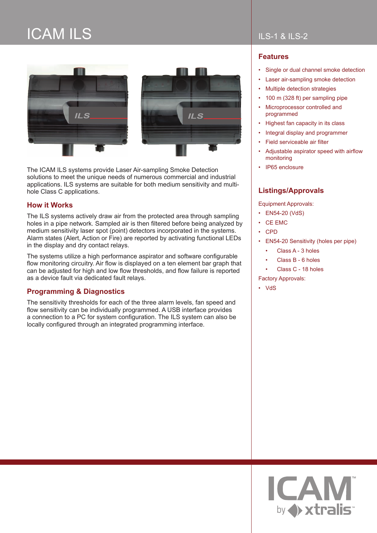# ICAM ILS





The ICAM ILS systems provide Laser Air-sampling Smoke Detection solutions to meet the unique needs of numerous commercial and industrial applications. ILS systems are suitable for both medium sensitivity and multihole Class C applications.

#### **How it Works**

The ILS systems actively draw air from the protected area through sampling holes in a pipe network. Sampled air is then filtered before being analyzed by medium sensitivity laser spot (point) detectors incorporated in the systems. Alarm states (Alert, Action or Fire) are reported by activating functional LEDs in the display and dry contact relays.

The systems utilize a high performance aspirator and software configurable flow monitoring circuitry. Air flow is displayed on a ten element bar graph that can be adjusted for high and low flow thresholds, and flow failure is reported as a device fault via dedicated fault relays.

#### **Programming & Diagnostics**

The sensitivity thresholds for each of the three alarm levels, fan speed and flow sensitivity can be individually programmed. A USB interface provides a connection to a PC for system configuration. The ILS system can also be locally configured through an integrated programming interface.

## ILS-1 & ILS-2

## **Features**

- Single or dual channel smoke detection
- Laser air-sampling smoke detection
- Multiple detection strategies
- 100 m (328 ft) per sampling pipe
- Microprocessor controlled and programmed
- Highest fan capacity in its class
- Integral display and programmer
- Field serviceable air filter
- Adjustable aspirator speed with airflow monitoring
- IP65 enclosure

### **Listings/Approvals**

Equipment Approvals:

- EN54-20 (VdS)
- CE EMC
- CPD
- EN54-20 Sensitivity (holes per pipe)
	- Class A 3 holes
	- Class B 6 holes
	- Class C 18 holes

Factory Approvals:

• VdS